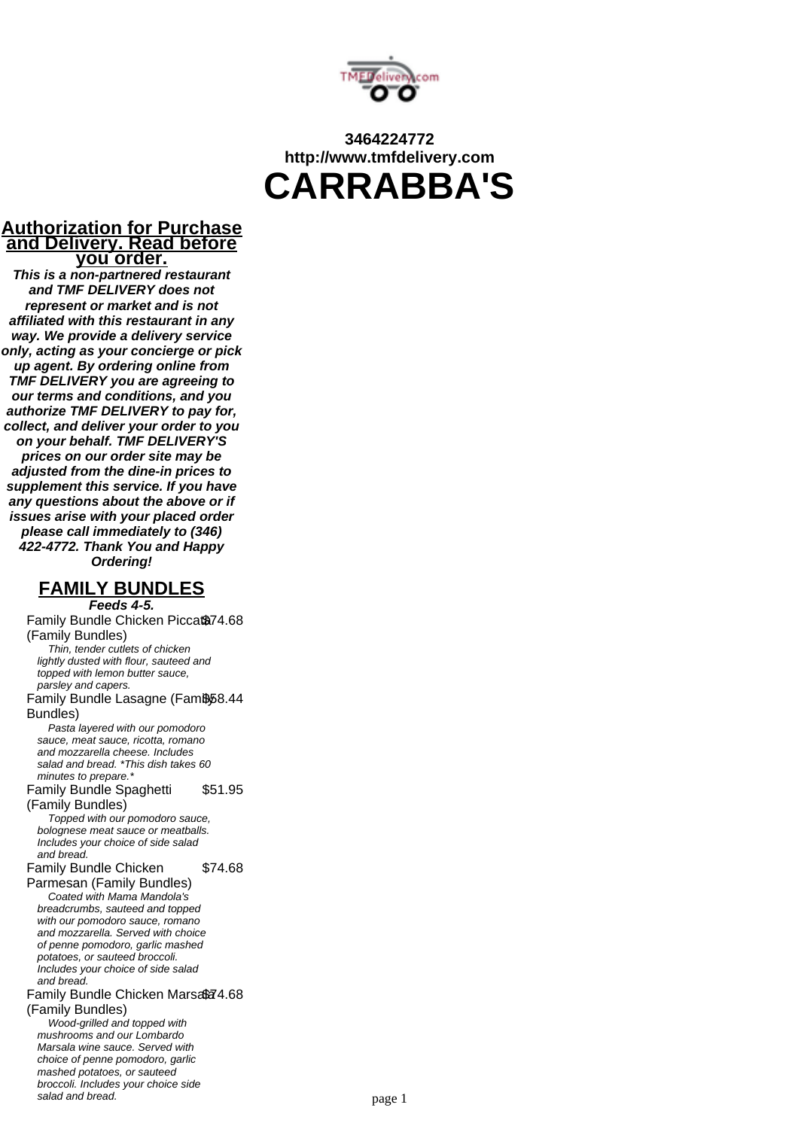

## **3464224772 http://www.tmfdelivery.com CARRABBA'S**

#### **Authorization for Purchase and Delivery. Read before you order.**

**This is a non-partnered restaurant and TMF DELIVERY does not represent or market and is not affiliated with this restaurant in any way. We provide a delivery service only, acting as your concierge or pick up agent. By ordering online from TMF DELIVERY you are agreeing to our terms and conditions, and you authorize TMF DELIVERY to pay for, collect, and deliver your order to you on your behalf. TMF DELIVERY'S prices on our order site may be adjusted from the dine-in prices to supplement this service. If you have any questions about the above or if issues arise with your placed order please call immediately to (346) 422-4772. Thank You and Happy Ordering!**

## **FAMILY BUNDLES**

**Feeds 4-5.** Family Bundle Chicken Piccat<sup>874.68</sup> (Family Bundles) Thin, tender cutlets of chicken lightly dusted with flour, sauteed and topped with lemon butter sauce, parsley and capers. Family Bundle Lasagne (Famb58.44 Bundles) Pasta layered with our pomodoro sauce, meat sauce, ricotta, romano and mozzarella cheese. Includes salad and bread. \*This dish takes 60 minutes to prepare.<sup>\*</sup> Family Bundle Spaghetti (Family Bundles) \$51.95 Topped with our pomodoro sauce, bolognese meat sauce or meatballs. Includes your choice of side salad and bread. Family Bundle Chicken Parmesan (Family Bundles) \$74.68 Coated with Mama Mandola's breadcrumbs, sauteed and topped with our pomodoro sauce, romano and mozzarella. Served with choice of penne pomodoro, garlic mashed potatoes, or sauteed broccoli. Includes your choice of side salad and bread. Family Bundle Chicken Marsafa 4.68 (Family Bundles) Wood-grilled and topped with mushrooms and our Lombardo Marsala wine sauce. Served with choice of penne pomodoro, garlic mashed potatoes, or sauteed broccoli. Includes your choice side salad and bread. The same same page 1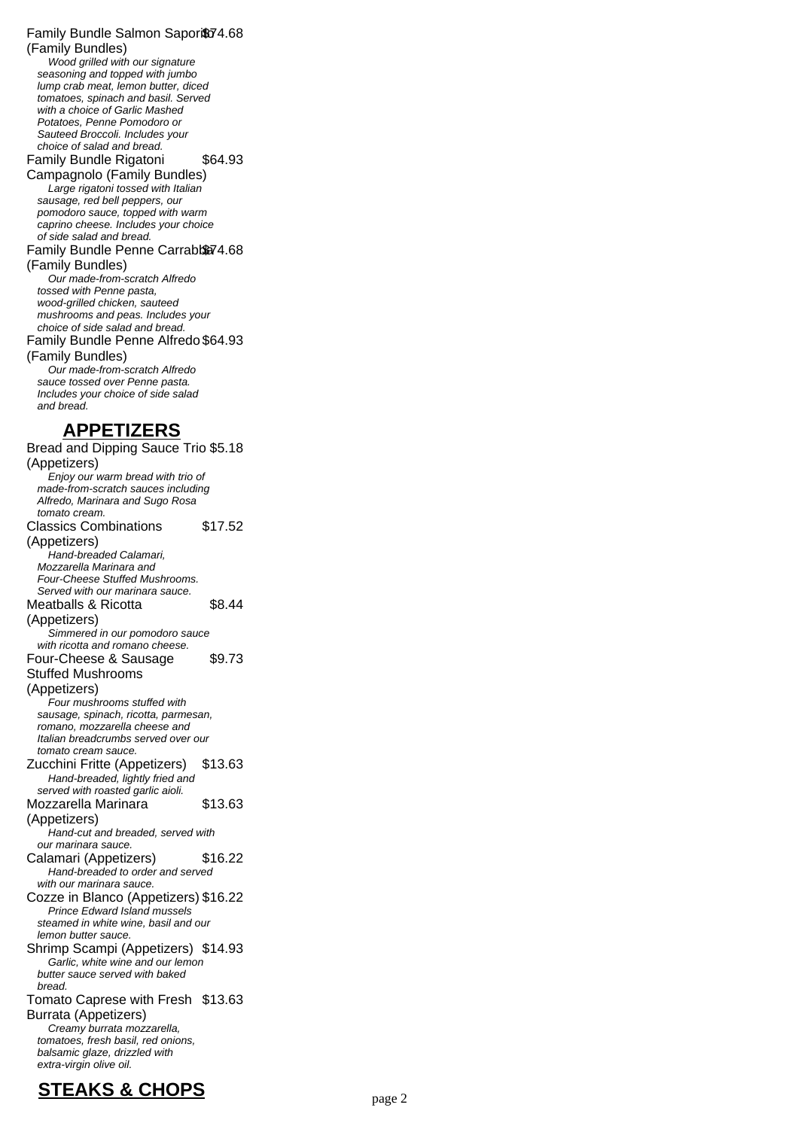Family Bundle Salmon Sapori\$74.68 (Family Bundles) Wood grilled with our signature seasoning and topped with jumbo lump crab meat, lemon butter, diced tomatoes, spinach and basil. Served with a choice of Garlic Mashed Potatoes, Penne Pomodoro or Sauteed Broccoli. Includes your choice of salad and bread. Family Bundle Rigatoni \$64.93

Campagnolo (Family Bundles) Large rigatoni tossed with Italian sausage, red bell peppers, our pomodoro sauce, topped with warm caprino cheese. Includes your choice of side salad and bread.

Family Bundle Penne Carrabba74.68 (Family Bundles)

Our made-from-scratch Alfredo tossed with Penne pasta, wood-grilled chicken, sauteed mushrooms and peas. Includes your choice of side salad and bread. Family Bundle Penne Alfredo \$64.93 (Family Bundles) Our made-from-scratch Alfredo sauce tossed over Penne pasta. Includes your choice of side salad and bread.

#### **APPETIZERS**

Bread and Dipping Sauce Trio \$5.18 (Appetizers) Enjoy our warm bread with trio of made-from-scratch sauces including Alfredo, Marinara and Sugo Rosa tomato cream. Classics Combinations (Appetizers) \$17.52 Hand-breaded Calamari, Mozzarella Marinara and Four-Cheese Stuffed Mushrooms. Served with our marinara sauce. Meatballs & Ricotta (Appetizers) \$8.44 Simmered in our pomodoro sauce with ricotta and romano cheese. Four-Cheese & Sausage Stuffed Mushrooms (Appetizers) \$9.73 Four mushrooms stuffed with sausage, spinach, ricotta, parmesan, romano, mozzarella cheese and Italian breadcrumbs served over our tomato cream sauce. Zucchini Fritte (Appetizers) \$13.63 Hand-breaded, lightly fried and served with roasted garlic aioli. Mozzarella Marinara (Appetizers) \$13.63 Hand-cut and breaded, served with our marinara sauce. Calamari (Appetizers) \$16.22 Hand-breaded to order and served with our marinara sauce. Cozze in Blanco (Appetizers) \$16.22 Prince Edward Island mussels steamed in white wine, basil and our lemon butter sauce. Shrimp Scampi (Appetizers) \$14.93 Garlic, white wine and our lemon butter sauce served with baked bread. Tomato Caprese with Fresh \$13.63 Burrata (Appetizers) Creamy burrata mozzarella, tomatoes, fresh basil, red onions, balsamic glaze, drizzled with extra-virgin olive oil.

# **STEAKS & CHOPS** page 2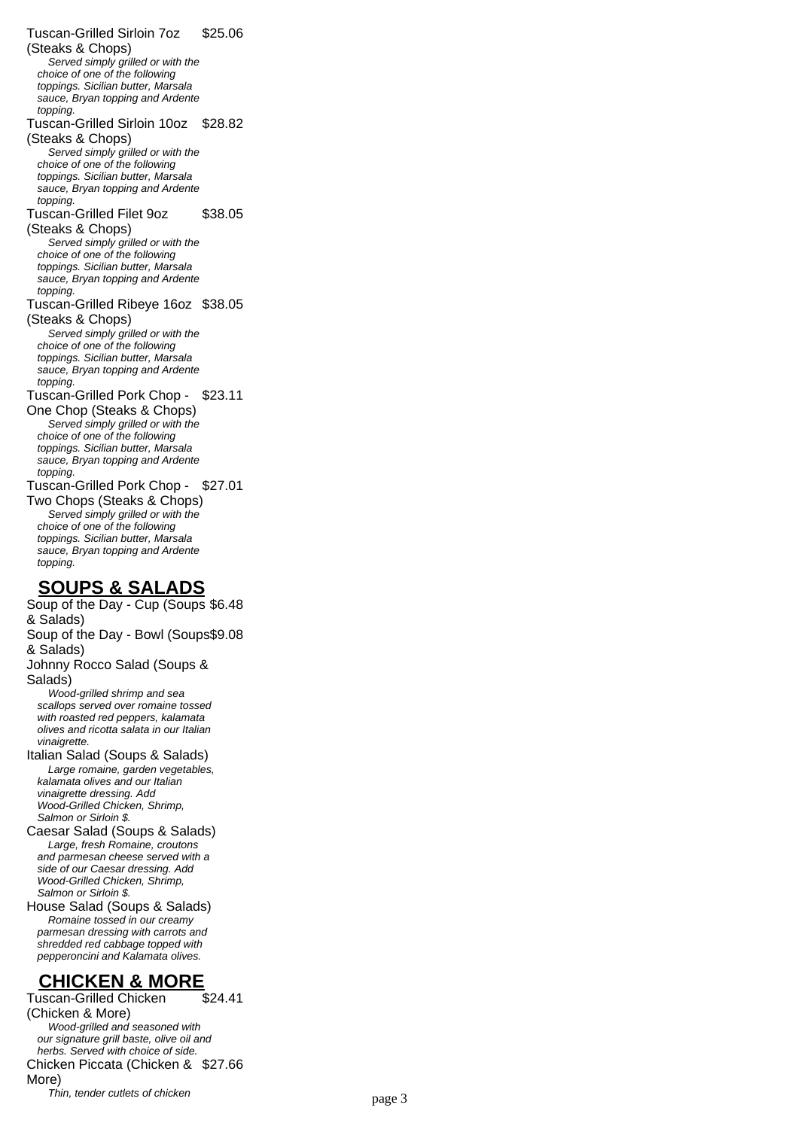Tuscan-Grilled Sirloin 7oz (Steaks & Chops) \$25.06 Served simply grilled or with the choice of one of the following toppings. Sicilian butter, Marsala sauce, Bryan topping and Ardente topping Tuscan-Grilled Sirloin 10oz \$28.82 (Steaks & Chops) Served simply grilled or with the choice of one of the following toppings. Sicilian butter, Marsala sauce, Bryan topping and Ardente topping Tuscan-Grilled Filet 9oz (Steaks & Chops) \$38.05 Served simply grilled or with the choice of one of the following toppings. Sicilian butter, Marsala sauce, Bryan topping and Ardente topping Tuscan-Grilled Ribeye 16oz \$38.05 (Steaks & Chops) Served simply grilled or with the choice of one of the following toppings. Sicilian butter, Marsala sauce, Bryan topping and Ardente topping. Tuscan-Grilled Pork Chop - \$23.11 One Chop (Steaks & Chops) Served simply grilled or with the choice of one of the following toppings. Sicilian butter, Marsala sauce, Bryan topping and Ardente topping. Tuscan-Grilled Pork Chop - \$27.01 Two Chops (Steaks & Chops) Served simply grilled or with the choice of one of the following toppings. Sicilian butter, Marsala sauce, Bryan topping and Ardente topping. **SOUPS & SALADS** Soup of the Day - Cup (Soups \$6.48 & Salads) Soup of the Day - Bowl (Soups \$9.08 & Salads) Johnny Rocco Salad (Soups & Salads) Wood-grilled shrimp and sea

scallops served over romaine tossed with roasted red peppers, kalamata olives and ricotta salata in our Italian vinaigrette.

Italian Salad (Soups & Salads) Large romaine, garden vegetables, kalamata olives and our Italian vinaigrette dressing. Add Wood-Grilled Chicken, Shrimp, Salmon or Sirloin \$.

Caesar Salad (Soups & Salads) Large, fresh Romaine, croutons and parmesan cheese served with a side of our Caesar dressing. Add Wood-Grilled Chicken, Shrimp, Salmon or Sirloin \$.

House Salad (Soups & Salads) Romaine tossed in our creamy parmesan dressing with carrots and shredded red cabbage topped with pepperoncini and Kalamata olives.

## **CHICKEN & MORE**

Tuscan-Grilled Chicken (Chicken & More) \$24.41 Wood-grilled and seasoned with our signature grill baste, olive oil and herbs. Served with choice of side. Chicken Piccata (Chicken & \$27.66 More) Thin, tender cutlets of chicken page 3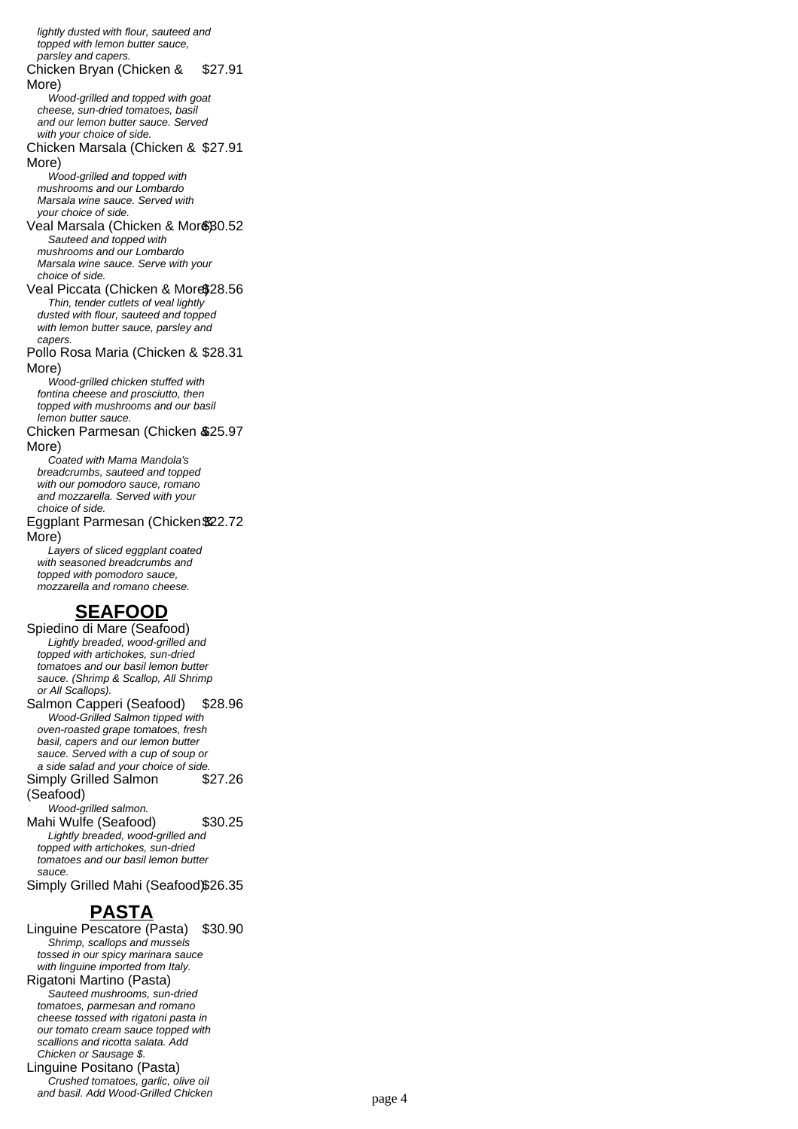lightly dusted with flour, sauteed and topped with lemon butter sauce, parsley and capers. Chicken Bryan (Chicken & More) \$27.91 Wood-grilled and topped with goat cheese, sun-dried tomatoes, basil and our lemon butter sauce. Served with your choice of side. Chicken Marsala (Chicken & \$27.91 More) Wood-grilled and topped with mushrooms and our Lombardo Marsala wine sauce. Served with your choice of side. Veal Marsala (Chicken & Mor\$80.52 Sauteed and topped with mushrooms and our Lombardo Marsala wine sauce. Serve with your choice of side. Veal Piccata (Chicken & More\$28.56 Thin, tender cutlets of veal lightly dusted with flour, sauteed and topped with lemon butter sauce, parsley and capers. Pollo Rosa Maria (Chicken & \$28.31 More) Wood-grilled chicken stuffed with fontina cheese and prosciutto, then topped with mushrooms and our basil lemon butter sauce. Chicken Parmesan (Chicken & \$25.97 More) Coated with Mama Mandola's breadcrumbs, sauteed and topped with our pomodoro sauce, romano and mozzarella. Served with your choice of side. Eggplant Parmesan (Chicken & \$22.72 More) Layers of sliced eggplant coated with seasoned breadcrumbs and topped with pomodoro sauce, mozzarella and romano cheese. **SEAFOOD** Spiedino di Mare (Seafood) Lightly breaded, wood-grilled and topped with artichokes, sun-dried tomatoes and our basil lemon butter sauce. (Shrimp & Scallop, All Shrimp or All Scallops). Salmon Capperi (Seafood) \$28.96 Wood-Grilled Salmon tipped with oven-roasted grape tomatoes, fresh basil, capers and our lemon butter sauce. Served with a cup of soup or a side salad and your choice of side. Simply Grilled Salmon (Seafood) \$27.26 Wood-grilled salmon. Mahi Wulfe (Seafood) \$30.25 Lightly breaded, wood-grilled and topped with artichokes, sun-dried tomatoes and our basil lemon butter

sauce. Simply Grilled Mahi (Seafood)\$26.35

### **PASTA**

Linguine Pescatore (Pasta) \$30.90 Shrimp, scallops and mussels tossed in our spicy marinara sauce with linguine imported from Italy. Rigatoni Martino (Pasta) Sauteed mushrooms, sun-dried tomatoes, parmesan and romano cheese tossed with rigatoni pasta in our tomato cream sauce topped with scallions and ricotta salata. Add Chicken or Sausage \$. Linguine Positano (Pasta) Crushed tomatoes, garlic, olive oil and basil. Add Wood-Grilled Chicken page 4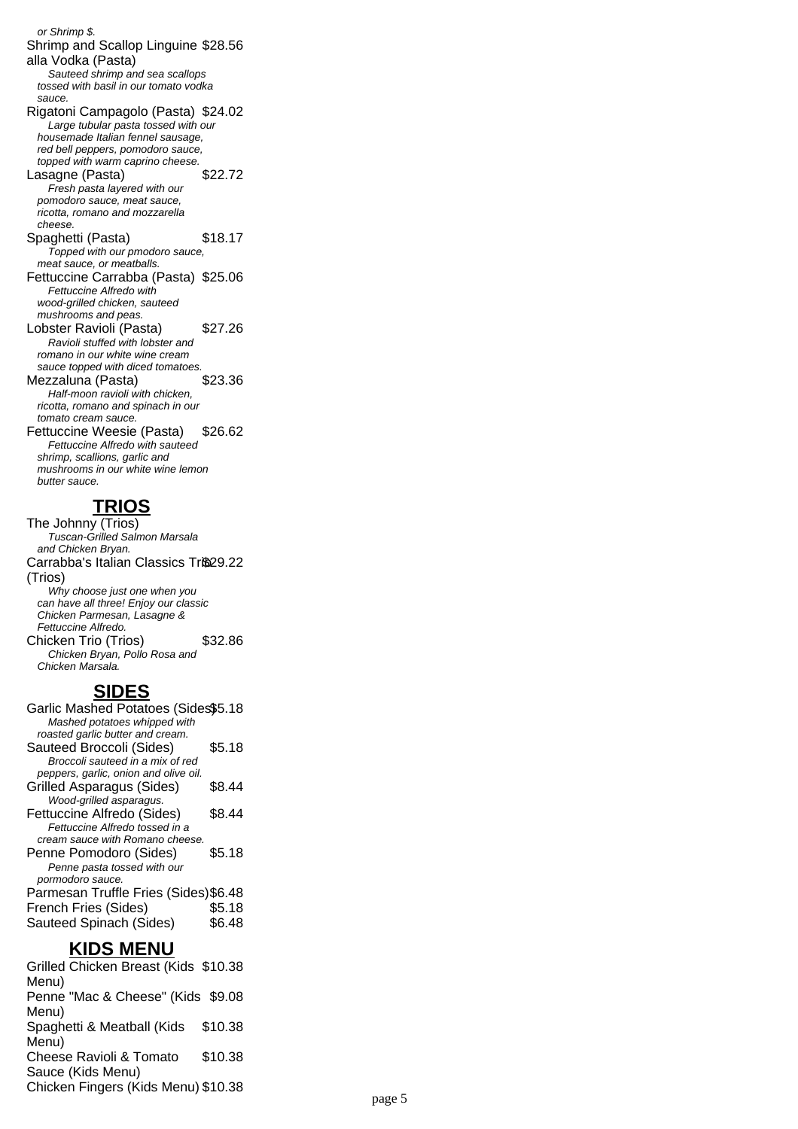or Shrimp \$. Shrimp and Scallop Linguine \$28.56 alla Vodka (Pasta) Sauteed shrimp and sea scallops tossed with basil in our tomato vodka sauce. Rigatoni Campagolo (Pasta) \$24.02 Large tubular pasta tossed with our housemade Italian fennel sausage, red bell peppers, pomodoro sauce, topped with warm caprino cheese. Lasagne (Pasta) \$22.72 Fresh pasta layered with our pomodoro sauce, meat sauce, ricotta, romano and mozzarella cheese. Spaghetti (Pasta) \$18.17 Topped with our pmodoro sauce, meat sauce, or meatballs. Fettuccine Carrabba (Pasta) \$25.06 Fettuccine Alfredo with wood-grilled chicken, sauteed mushrooms and peas. Lobster Ravioli (Pasta) \$27.26 Ravioli stuffed with lobster and romano in our white wine cream sauce topped with diced tomatoes. Mezzaluna (Pasta) \$23.36 Half-moon ravioli with chicken, ricotta, romano and spinach in our tomato cream sauce. Fettuccine Weesie (Pasta) \$26.62 Fettuccine Alfredo with sauteed shrimp, scallions, garlic and mushrooms in our white wine lemon butter sauce.

## **TRIOS**

The Johnny (Trios) Tuscan-Grilled Salmon Marsala and Chicken Bryan. Carrabba's Italian Classics Trio29.22 (Trios) Why choose just one when you can have all three! Enjoy our classic Chicken Parmesan, Lasagne & Fettuccine Alfredo. Chicken Trio (Trios) \$32.86 Chicken Bryan, Pollo Rosa and Chicken Marsala.

## **SIDES**

| Garlic Mashed Potatoes (Sides\$5.18<br>Mashed potatoes whipped with<br>roasted garlic butter and cream. |                  |
|---------------------------------------------------------------------------------------------------------|------------------|
| Sauteed Broccoli (Sides)<br>Broccoli sauteed in a mix of red                                            | \$5.18           |
| peppers, garlic, onion and olive oil.<br><b>Grilled Asparagus (Sides)</b><br>Wood-grilled asparagus.    | \$8.44           |
| Fettuccine Alfredo (Sides)<br>Fettuccine Alfredo tossed in a<br>cream sauce with Romano cheese.         | \$8.44           |
| Penne Pomodoro (Sides)<br>Penne pasta tossed with our<br>pormodoro sauce.                               | \$5.18           |
| Parmesan Truffle Fries (Sides) \$6.48<br>French Fries (Sides)<br>Sauteed Spinach (Sides)                | \$5.18<br>\$6.48 |

### **KIDS MENU**

Grilled Chicken Breast (Kids \$10.38 Menu) Penne "Mac & Cheese" (Kids \$9.08 Menu) Spaghetti & Meatball (Kids Menu) \$10.38 Cheese Ravioli & Tomato Sauce (Kids Menu) \$10.38 Chicken Fingers (Kids Menu) \$10.38